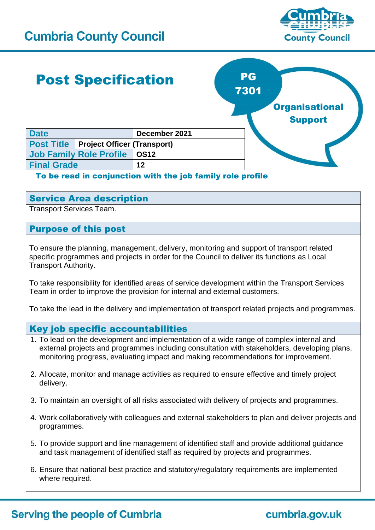# **Cumbria County Council**



# Post Specification **Date December 2021 Post Title Project Officer (Transport) Job Family Role Profile OS12 Final Grade 12** To be read in conjunction with the job family role profile Service Area description Transport Services Team. PG 7301 **Organisational** Support

# Purpose of this post

To ensure the planning, management, delivery, monitoring and support of transport related specific programmes and projects in order for the Council to deliver its functions as Local Transport Authority.

To take responsibility for identified areas of service development within the Transport Services Team in order to improve the provision for internal and external customers.

To take the lead in the delivery and implementation of transport related projects and programmes.

# Key job specific accountabilities

- 1. To lead on the development and implementation of a wide range of complex internal and external projects and programmes including consultation with stakeholders, developing plans, monitoring progress, evaluating impact and making recommendations for improvement.
- 2. Allocate, monitor and manage activities as required to ensure effective and timely project delivery.
- 3. To maintain an oversight of all risks associated with delivery of projects and programmes.
- 4. Work collaboratively with colleagues and external stakeholders to plan and deliver projects and programmes.
- 5. To provide support and line management of identified staff and provide additional guidance and task management of identified staff as required by projects and programmes.
- 6. Ensure that national best practice and statutory/regulatory requirements are implemented where required.

# **Serving the people of Cumbria**

cumbria.gov.uk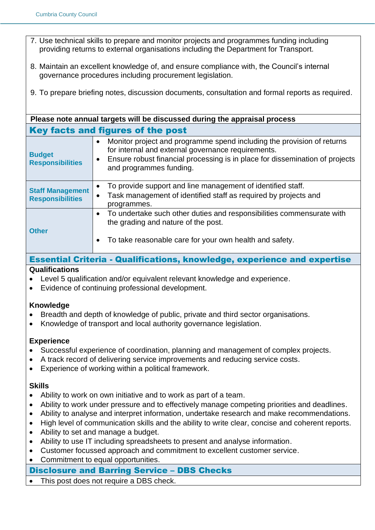- 7. Use technical skills to prepare and monitor projects and programmes funding including providing returns to external organisations including the Department for Transport.
- 8. Maintain an excellent knowledge of, and ensure compliance with, the Council's internal governance procedures including procurement legislation.
- 9. To prepare briefing notes, discussion documents, consultation and formal reports as required.

| Please note annual targets will be discussed during the appraisal process |                                                                                                                                                                                                                                                      |  |
|---------------------------------------------------------------------------|------------------------------------------------------------------------------------------------------------------------------------------------------------------------------------------------------------------------------------------------------|--|
| Key facts and figures of the post                                         |                                                                                                                                                                                                                                                      |  |
| <b>Budget</b><br><b>Responsibilities</b>                                  | Monitor project and programme spend including the provision of returns<br>for internal and external governance requirements.<br>Ensure robust financial processing is in place for dissemination of projects<br>$\bullet$<br>and programmes funding. |  |
| <b>Staff Management</b><br><b>Responsibilities</b>                        | To provide support and line management of identified staff.<br>Task management of identified staff as required by projects and<br>programmes.                                                                                                        |  |
| <b>Other</b>                                                              | To undertake such other duties and responsibilities commensurate with<br>the grading and nature of the post.<br>To take reasonable care for your own health and safety.                                                                              |  |

#### Essential Criteria - Qualifications, knowledge, experience and expertise **Qualifications**

- Level 5 qualification and/or equivalent relevant knowledge and experience.
- Evidence of continuing professional development.

# **Knowledge**

- Breadth and depth of knowledge of public, private and third sector organisations.
- Knowledge of transport and local authority governance legislation.

# **Experience**

- Successful experience of coordination, planning and management of complex projects.
- A track record of delivering service improvements and reducing service costs.
- Experience of working within a political framework.

# **Skills**

- Ability to work on own initiative and to work as part of a team.
- Ability to work under pressure and to effectively manage competing priorities and deadlines.
- Ability to analyse and interpret information, undertake research and make recommendations.
- High level of communication skills and the ability to write clear, concise and coherent reports.
- Ability to set and manage a budget.
- Ability to use IT including spreadsheets to present and analyse information.
- Customer focussed approach and commitment to excellent customer service.
- Commitment to equal opportunities.

# Disclosure and Barring Service – DBS Checks

• This post does not require a DBS check.